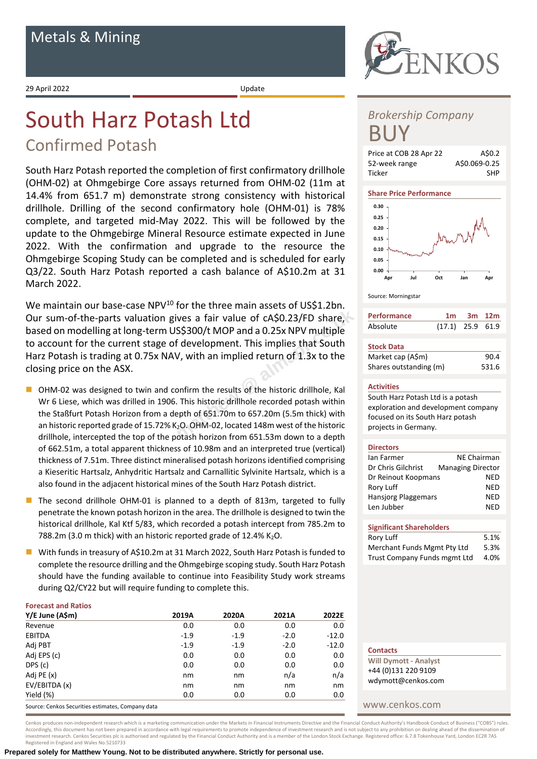29 April 2022 Update

# South Harz Potash Ltd

## Confirmed Potash

South Harz Potash reported the completion of first confirmatory drillhole (OHM-02) at Ohmgebirge Core assays returned from OHM-02 (11m at 14.4% from 651.7 m) demonstrate strong consistency with historical drillhole. Drilling of the second confirmatory hole (OHM-01) is 78% complete, and targeted mid-May 2022. This will be followed by the update to the Ohmgebirge Mineral Resource estimate expected in June 2022. With the confirmation and upgrade to the resource the Ohmgebirge Scoping Study can be completed and is scheduled for early Q3/22. South Harz Potash reported a cash balance of A\$10.2m at 31 March 2022.

We maintain our base-case NPV<sup>10</sup> for the three main assets of US\$1.2bn. Our sum-of-the-parts valuation gives a fair value of cA\$0.23/FD share, based on modelling at long-term US\$300/t MOP and a 0.25x NPV multiple to account for the current stage of development. This implies that South Harz Potash is trading at 0.75x NAV, with an implied return of 1.3x to the closing price on the ASX. For the time main assets of 0331.25m.<br>
ves a fair value of cA\$0.23/FD share,<br>
S\$300/t MOP and a 0.25x NPV multiple<br>
if development. This implies that South<br>
V, with an implied return of 1.3x to the<br>
ponfirm the results of

- OHM-02 was designed to twin and confirm the results of the historic drillhole, Kal Wr 6 Liese, which was drilled in 1906. This historic drillhole recorded potash within the Staßfurt Potash Horizon from a depth of 651.70m to 657.20m (5.5m thick) with an historic reported grade of 15.72% K<sub>2</sub>O. OHM-02, located 148m west of the historic drillhole, intercepted the top of the potash horizon from 651.53m down to a depth of 662.51m, a total apparent thickness of 10.98m and an interpreted true (vertical) thickness of 7.51m. Three distinct mineralised potash horizons identified comprising a Kieseritic Hartsalz, Anhydritic Hartsalz and Carnallitic Sylvinite Hartsalz, which is a also found in the adjacent historical mines of the South Harz Potash district.
- The second drillhole OHM-01 is planned to a depth of 813m, targeted to fully penetrate the known potash horizon in the area. The drillhole is designed to twin the historical drillhole, Kal Ktf 5/83, which recorded a potash intercept from 785.2m to 788.2m (3.0 m thick) with an historic reported grade of 12.4% K<sub>2</sub>O.
- With funds in treasury of A\$10.2m at 31 March 2022, South Harz Potash is funded to complete the resource drilling and the Ohmgebirge scoping study. South Harz Potash should have the funding available to continue into Feasibility Study work streams during Q2/CY22 but will require funding to complete this.

## **Forecast and Ratios**

| Y/E June (A\$m) | 2019A    | 2020A  | 2021A  | 2022E   |
|-----------------|----------|--------|--------|---------|
| Revenue         | 0.0      | 0.0    | 0.0    | 0.0     |
| <b>EBITDA</b>   | $-1.9$   | $-1.9$ | $-2.0$ | $-12.0$ |
| Adj PBT         | $-1.9$   | $-1.9$ | $-2.0$ | $-12.0$ |
| Adj EPS (c)     | 0.0      | 0.0    | 0.0    | 0.0     |
| DPS (c)         | 0.0      | 0.0    | 0.0    | 0.0     |
| Adj PE (x)      | nm       | nm     | n/a    | n/a     |
| EV/EBITDA (x)   | nm       | nm     | nm     | nm      |
| Yield (%)       | 0.0      | 0.0    | 0.0    | 0.0     |
| .               | $\cdots$ |        |        |         |

Source: Cenkos Securities estimates, Company data

**NKOS** 

## *Brokership Company* BUY



## **Share Price Performance**



### Source: Morningstar

| <b>Performance</b> |                    | $1m$ 3m $12m$ |  |
|--------------------|--------------------|---------------|--|
| Absolute           | $(17.1)$ 25.9 61.9 |               |  |
| <b>Stock Data</b>  |                    |               |  |

| __________             |       |
|------------------------|-------|
| Market cap (A\$m)      | 90.4  |
| Shares outstanding (m) | 531.6 |

## **Activities**

South Harz Potash Ltd is a potash exploration and development company focused on its South Harz potash projects in Germany.

### **Directors**

| lan Farmer                 | <b>NE Chairman</b>       |
|----------------------------|--------------------------|
| Dr Chris Gilchrist         | <b>Managing Director</b> |
| Dr Reinout Koopmans        | NED                      |
| Rory Luff                  | NFD                      |
| <b>Hansjorg Plaggemars</b> | NFD                      |
| Len Jubber                 | NFD                      |
|                            |                          |
|                            |                          |

## **Significant Shareholders** Rory Luff 5.1% Merchant Funds Mgmt Pty Ltd 5.3% Trust Company Funds mgmt Ltd 4.0%

| <b>Contacts</b>              |  |
|------------------------------|--|
| <b>Will Dymott - Analyst</b> |  |
| +44 (0)131 220 9109          |  |
| wdymott@cenkos.com           |  |

## www.cenkos.com

Cenkos produces non-independent research which is a marketing communication under the Markets in Financial Instruments Directive and the Financial Conduct Authority's Handbook Conduct of Business ("COBS") rules. Accordingly, this document has not been prepared in accordance with legal requirements to promote independence of investment research and is not subject to any prohibition on dealing ahead of the dissemination or investment research. Cenkos Securities plc is authorised and regulated by the Financial Conduct Authority and is a member of the London Stock Exchange. Registered office: 6.7.8 Tokenhouse Yard, London EC2R 7AS Registered in England and Wales No.5210733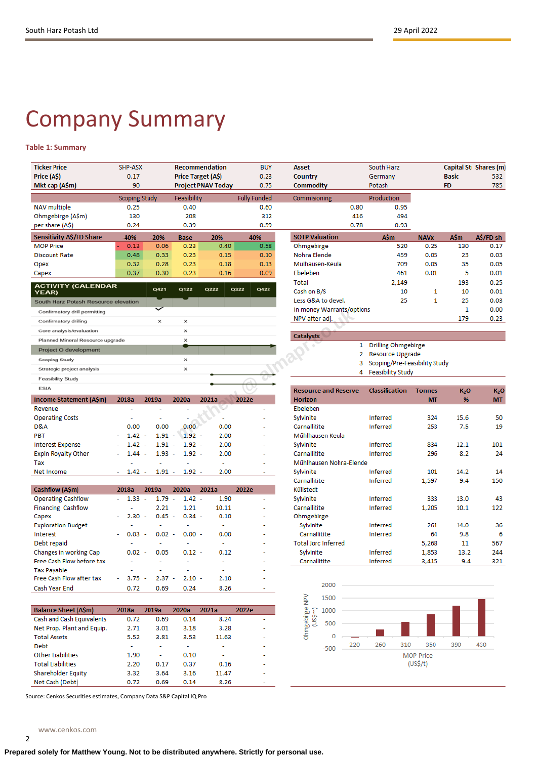# Company Summary

## **Table 1: Summary**

| <b>Ticker Price</b><br>Price (A\$)        | SHP-ASX<br>0.17                  |                          |                       | <b>Recommendation</b><br><b>Price Target (A\$)</b> | <b>BUY</b><br>0.23  | <b>Asset</b><br>Country     | South Harz<br>Germany                             |               | <b>Basic</b>          | Capital St Shares (m)<br>532  |
|-------------------------------------------|----------------------------------|--------------------------|-----------------------|----------------------------------------------------|---------------------|-----------------------------|---------------------------------------------------|---------------|-----------------------|-------------------------------|
| Mkt cap (A\$m)                            | 90                               |                          |                       | <b>Project PNAV Today</b>                          | 0.75                | Commodity                   | Potash                                            |               | <b>FD</b>             | 785                           |
|                                           | <b>Scoping Study</b>             |                          | Feasibility           |                                                    | <b>Fully Funded</b> | Commisioning                | Production                                        |               |                       |                               |
| <b>NAV</b> multiple                       | 0.25                             |                          | 0.40                  |                                                    | 0.60                | 0.80                        | 0.95                                              |               |                       |                               |
| Ohmgebirge (A\$m)                         | 130                              |                          | 208                   |                                                    | 312                 | 416                         | 494                                               |               |                       |                               |
| per share (A\$)                           | 0.24                             |                          | 0.39                  |                                                    | 0.59                | 0.78                        | 0.93                                              |               |                       |                               |
| Sensitivity A\$/FD Share                  | $-40%$                           | $-20%$                   | <b>Base</b>           | 20%                                                | 40%                 | <b>SOTP Valuation</b>       | <b>A\$m</b>                                       | <b>NAVx</b>   | AŚm                   | A\$/FD sh                     |
| <b>MOP Price</b>                          | 0.13                             | 0.06                     | 0.23                  | 0.40                                               | 0.58                | Ohmgebirge                  | 520                                               | 0.25          | 130                   | 0.17                          |
| <b>Discount Rate</b>                      | 0.48                             | 0.33                     | 0.23                  | 0.15                                               | 0.10                | Nohra Elende                | 459                                               | 0.05          | 23                    | 0.03                          |
| Opex                                      | 0.32                             | 0.28                     | 0.23                  | 0.18                                               | 0.13                | Mulhausen-Keula             | 709                                               | 0.05          | 35                    | 0.05                          |
| Capex                                     | 0.37                             | 0.30                     | 0.23                  | 0.16                                               | 0.09                | Ebeleben                    | 461                                               | 0.01          | 5                     | 0.01                          |
| <b>ACTIVITY (CALENDAR</b>                 |                                  |                          |                       |                                                    |                     | Total                       | 2,149                                             |               | 193                   | 0.25                          |
| <b>YEAR)</b>                              |                                  | Q421                     | Q122                  | Q222                                               | Q322<br>Q422        | Cash on B/S                 | 10                                                | 1             | 10                    | 0.01                          |
| South Harz Potash Resource elevation      |                                  |                          |                       |                                                    |                     | Less G&A to devel.          | 25                                                | 1             | 25                    | 0.03                          |
| Confirmatory drill permitting             |                                  |                          |                       |                                                    |                     | In money Warrants/options   |                                                   |               | $\mathbf{1}$          | 0.00                          |
| Confirmatory drilling                     |                                  | x                        | ×                     |                                                    |                     | NPV after adj.              |                                                   |               | 179                   | 0.23                          |
| Core analysis/evaluation                  |                                  |                          | ×                     |                                                    |                     |                             |                                                   |               |                       |                               |
| Planned Mineral Resource upgrade          |                                  |                          | $\times$              |                                                    |                     | <b>Catalysts</b>            |                                                   |               |                       |                               |
| Project O development                     |                                  |                          |                       |                                                    |                     | 1<br>2                      | <b>Drilling Ohmgebirge</b>                        |               |                       |                               |
| Scoping Study                             |                                  |                          | ×                     |                                                    |                     | з                           | Resource Upgrade<br>Scoping/Pre-Feasibility Study |               |                       |                               |
| Strategic project analysis                |                                  |                          | ×                     |                                                    |                     | 4                           | <b>Feasibility Study</b>                          |               |                       |                               |
| <b>Feasibility Study</b>                  |                                  |                          |                       |                                                    |                     |                             |                                                   |               |                       |                               |
|                                           |                                  |                          |                       |                                                    |                     |                             |                                                   |               |                       |                               |
| <b>ESIA</b>                               |                                  |                          |                       |                                                    |                     | <b>Resource and Reserve</b> | <b>Classification</b>                             | <b>Tonnes</b> |                       |                               |
| Income Statement (A\$m)                   | 2018a                            | 2019a                    | 2020a                 | 2021a                                              | 2022e               | <b>Horizon</b>              |                                                   | <b>MT</b>     | K <sub>2</sub> O<br>% | K <sub>2</sub> O<br><b>MT</b> |
| Revenue                                   | ä,                               | ٠                        | $\tilde{\phantom{a}}$ | ¥.                                                 | ÷,                  | Ebeleben                    |                                                   |               |                       |                               |
| <b>Operating Costs</b>                    | $\overline{\phantom{a}}$         | $\overline{\phantom{a}}$ |                       |                                                    |                     | Sylvinite                   | Inferred                                          | 324           | 15.6                  | 50                            |
| D&A                                       | 0.00                             | 0.00                     | 0.00                  | 0.00                                               |                     | Carnallitite                | <b>Inferred</b>                                   | 253           | 7.5                   | 19                            |
| PBT                                       | $1.42 -$                         | $1.91 -$                 | $1.92 -$              | 2.00                                               |                     | Műhlhausen Keula            |                                                   |               |                       |                               |
| <b>Interest Expense</b>                   | 1.42<br>$\overline{\phantom{a}}$ | 1.91                     | $1.92 -$<br>$\sim$    | 2.00                                               |                     | Sylvinite                   | <b>Inferred</b>                                   | 834           | 12.1                  | 101                           |
| <b>Expln Royalty Other</b>                | $1.44 -$                         | 1.93                     | $1.92 -$<br>$\sim$    | 2.00                                               |                     | Carnallitite                | <b>Inferred</b>                                   | 296           | 8.2                   | 24                            |
| Tax                                       |                                  |                          |                       | L,                                                 |                     | Műhlhausen Nohra-Elende     |                                                   |               |                       |                               |
| Net Income                                | $1.42 -$<br>÷,                   | $1.91 -$                 | $1.92 -$              | 2.00                                               | ÷                   | Sylvinite                   | Inferred                                          | 101           | 14.2                  | 14                            |
|                                           |                                  |                          |                       |                                                    |                     | Carnallitite                | <b>Inferred</b>                                   | 1,597         | 9.4                   | 150                           |
| Cashflow (A\$m)                           | 2018a                            | 2019a                    | 2020a                 | 2021a                                              | 2022e               | Kűllstedt                   |                                                   |               |                       |                               |
| <b>Operating Cashflow</b>                 | 1.33                             | 1.79<br>$\sim$           | $1.42 -$<br>$\sim$    | 1.90                                               | ٠                   | Sylvinite                   | Inferred                                          | 333           | 13.0                  | 43                            |
| <b>Financing Cashflow</b>                 |                                  | 2.21                     | 1.21                  | 10.11                                              |                     | Carnallitite                | <b>Inferred</b>                                   | 1,205         | 10.1                  | 122                           |
| Capex                                     | 2.30<br>$\overline{\phantom{a}}$ | 0.45                     | $0.34 -$<br>$\sim$    | 0.10                                               |                     | Ohmgebirge                  |                                                   |               |                       |                               |
| <b>Exploration Budget</b>                 | ÷.                               | ä,                       | ä,                    | ä,                                                 |                     | Sylvinite                   | <b>Inferred</b>                                   | 261           | 14.0                  | 36                            |
| Interest                                  | 0.03                             | 0.02                     | $0.00 -$              | 0.00                                               |                     | Carnallitite                | <b>Inferred</b>                                   | 64            | 9.8                   | 6                             |
| Debt repaid                               |                                  |                          |                       | ä,                                                 |                     | <b>Total Jorc Inferred</b>  |                                                   | 5,268         | 11                    | 567                           |
| Changes in working Cap                    | 0.02                             | 0.05                     | $0.12 -$              | 0.12                                               |                     | Sylvinite                   | <b>Inferred</b>                                   | 1,853         | 13.2                  | 244                           |
| Free Cash Flow before tax                 |                                  | $\overline{\phantom{a}}$ | $\ddot{\phantom{0}}$  | ٠                                                  |                     | Carnallitite                | Inferred                                          | 3,415         | 9.4                   | 321                           |
| <b>Tax Payable</b>                        |                                  |                          | $\overline{a}$        | ÷.                                                 |                     |                             |                                                   |               |                       |                               |
| Free Cash Flow after tax<br>Cash Year End | 3.75<br>0.72                     | 2.37<br>0.69             | $2.10 -$<br>0.24      | 2.10<br>8.26                                       | ÷                   | 2000                        |                                                   |               |                       |                               |

| <b>Balance Sheet (A\$m)</b>      | 2018a                    | 2019a | 2020a | 2021a | 2022e |
|----------------------------------|--------------------------|-------|-------|-------|-------|
| <b>Cash and Cash Equivalents</b> | 0.72                     | 0.69  | 0.14  | 8.24  |       |
| Net Prop. Plant and Equip.       | 2.71                     | 3.01  | 3.18  | 3.28  |       |
| <b>Total Assets</b>              | 5.52                     | 3.81  | 3.53  | 11.63 |       |
| <b>Debt</b>                      | $\overline{\phantom{a}}$ |       |       |       |       |
| <b>Other Liabilities</b>         | 1.90                     | ۰     | 0.10  | ۰     | ۰     |
| <b>Total Liabilities</b>         | 2.20                     | 0.17  | 0.37  | 0.16  |       |
| Shareholder Equity               | 3.32                     | 3.64  | 3.16  | 11.47 |       |
| Net Cash (Debt)                  | 0.72                     | 0.69  | 0.14  | 8.26  |       |

Source: Cenkos Securities estimates, Company Data S&P Capital IQ Pro

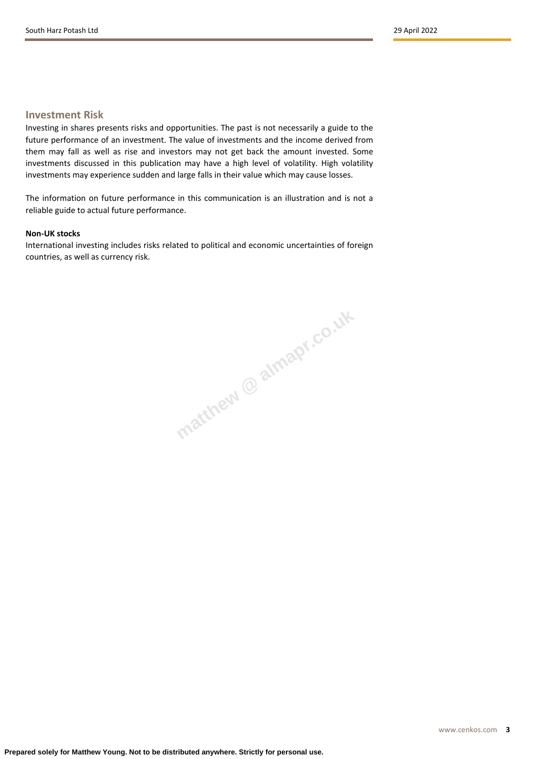## **Investment Risk**

Investing in shares presents risks and opportunities. The past is not necessarily a guide to the future performance of an investment. The value of investments and the income derived from them may fall as well as rise and investors may not get back the amount invested. Some investments discussed in this publication may have a high level of volatility. High volatility investments may experience sudden and large falls in their value which may cause losses.

The information on future performance in this communication is an illustration and is not a reliable guide to actual future performance.

## **Non-UK stocks**

International investing includes risks related to political and economic uncertainties of foreign countries, as well as currency risk.

**matthew @ almapr.co.uk**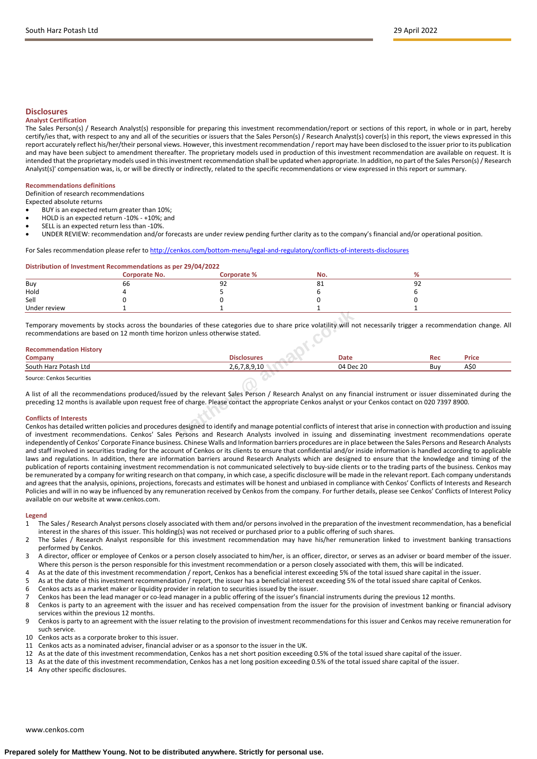## **Disclosures**

### **Analyst Certification**

The Sales Person(s) / Research Analyst(s) responsible for preparing this investment recommendation/report or sections of this report, in whole or in part, hereby certify/ies that, with respect to any and all of the securities or issuers that the Sales Person(s) / Research Analyst(s) cover(s) in this report, the views expressed in this report accurately reflect his/her/their personal views. However, this investment recommendation / report may have been disclosed to the issuer prior to its publication and may have been subject to amendment thereafter. The proprietary models used in production of this investment recommendation are available on request. It is intended that the proprietary models used in this investment recommendation shall be updated when appropriate. In addition, no part of the Sales Person(s) / Research Analyst(s)' compensation was, is, or will be directly or indirectly, related to the specific recommendations or view expressed in this report or summary.

## **Recommendations definitions**

Definition of research recommendations

Expected absolute returns

- BUY is an expected return greater than 10%;
- HOLD is an expected return -10% +10%; and
- SELL is an expected return less than -10%.
- UNDER REVIEW: recommendation and/or forecasts are under review pending further clarity as to the company's financial and/or operational position.

## For Sales recommendation please refer to <http://cenkos.com/bottom-menu/legal-and-regulatory/conflicts-of-interests-disclosures>

#### **Distribution of Investment Recommendations as per 29/04/2022**

|              | Corporate No. | Corporate % | No.           |   |
|--------------|---------------|-------------|---------------|---|
| Buy          | bb            | 92          | $\Omega$<br>ᅆ | ັ |
| Hold         |               |             |               |   |
| Sell         |               |             |               |   |
| Under review |               |             |               |   |

| Under review                                                                                                                                                                         |                                                                                                                                                                                                                                                                                                                         |             |            |              |
|--------------------------------------------------------------------------------------------------------------------------------------------------------------------------------------|-------------------------------------------------------------------------------------------------------------------------------------------------------------------------------------------------------------------------------------------------------------------------------------------------------------------------|-------------|------------|--------------|
| recommendations are based on 12 month time horizon unless otherwise stated.                                                                                                          | Temporary movements by stocks across the boundaries of these categories due to share price volatility will not necessarily trigger a recommendation change. All                                                                                                                                                         |             |            |              |
| <b>Recommendation History</b><br>Company                                                                                                                                             | <b>Disclosures</b>                                                                                                                                                                                                                                                                                                      | <b>Date</b> | <b>Rec</b> | <b>Price</b> |
| South Harz Potash Ltd                                                                                                                                                                | 2,6,7,8,9,10                                                                                                                                                                                                                                                                                                            | 04 Dec 20   | Buy        | A\$0         |
| Source: Cenkos Securities                                                                                                                                                            |                                                                                                                                                                                                                                                                                                                         |             |            |              |
|                                                                                                                                                                                      | A list of all the recommendations produced/issued by the relevant Sales Person / Research Analyst on any financial instrument or issuer disseminated during the<br>preceding 12 months is available upon request free of charge. Please contact the appropriate Cenkos analyst or your Cenkos contact on 020 7397 8900. |             |            |              |
| <b>Conflicts of Interests</b><br>of investment recommendations. Cenkos' Sales Persons and Research Analysts involved in issuing and disseminating investment recommendations operate | Cenkos has detailed written policies and procedures designed to identify and manage potential conflicts of interest that arise in connection with production and issuing                                                                                                                                                |             |            |              |

#### **Conflicts of Interests**

Cenkos has detailed written policies and procedures designed to identify and manage potential conflicts of interest that arise in connection with production and issuing of investment recommendations. Cenkos' Sales Persons and Research Analysts involved in issuing and disseminating investment recommendations operate independently of Cenkos' Corporate Finance business. Chinese Walls and Information barriers procedures are in place between the Sales Persons and Research Analysts and staff involved in securities trading for the account of Cenkos or its clients to ensure that confidential and/or inside information is handled according to applicable laws and regulations. In addition, there are information barriers around Research Analysts which are designed to ensure that the knowledge and timing of the publication of reports containing investment recommendation is not communicated selectively to buy-side clients or to the trading parts of the business. Cenkos may be remunerated by a company for writing research on that company, in which case, a specific disclosure will be made in the relevant report. Each company understands and agrees that the analysis, opinions, projections, forecasts and estimates will be honest and unbiased in compliance with Cenkos' Conflicts of Interests and Research Policies and will in no way be influenced by any remuneration received by Cenkos from the company. For further details, please see Cenkos' Conflicts of Interest Policy available on our website at www.cenkos.com.

## **Legend**<br>1 The

- 1 The Sales / Research Analyst persons closely associated with them and/or persons involved in the preparation of the investment recommendation, has a beneficial interest in the shares of this issuer. This holding(s) was not received or purchased prior to a public offering of such shares.
- 2 The Sales / Research Analyst responsible for this investment recommendation may have his/her remuneration linked to investment banking transactions performed by Cenkos.
- 3 A director, officer or employee of Cenkos or a person closely associated to him/her, is an officer, director, or serves as an adviser or board member of the issuer. Where this person is the person responsible for this investment recommendation or a person closely associated with them, this will be indicated.
- 4 As at the date of this investment recommendation / report, Cenkos has a beneficial interest exceeding 5% of the total issued share capital in the issuer.
- 5 As at the date of this investment recommendation / report, the issuer has a beneficial interest exceeding 5% of the total issued share capital of Cenkos.
- 6 Cenkos acts as a market maker or liquidity provider in relation to securities issued by the issuer.<br>7 Cenkos has been the lead manager or co-lead manager in a public offering of the issuer's financi
- 7 Cenkos has been the lead manager or co-lead manager in a public offering of the issuer's financial instruments during the previous 12 months.
- Cenkos is party to an agreement with the issuer and has received compensation from the issuer for the provision of investment banking or financial advisory services within the previous 12 months.
- 9 Cenkos is party to an agreement with the issuer relating to the provision of investment recommendations for this issuer and Cenkos may receive remuneration for such service.
- 10 Cenkos acts as a corporate broker to this issuer.
- 11 Cenkos acts as a nominated adviser, financial adviser or as a sponsor to the issuer in the UK.
- 12 As at the date of this investment recommendation, Cenkos has a net short position exceeding 0.5% of the total issued share capital of the issuer.
- 13 As at the date of this investment recommendation, Cenkos has a net long position exceeding 0.5% of the total issued share capital of the issuer.
- 14 Any other specific disclosures.